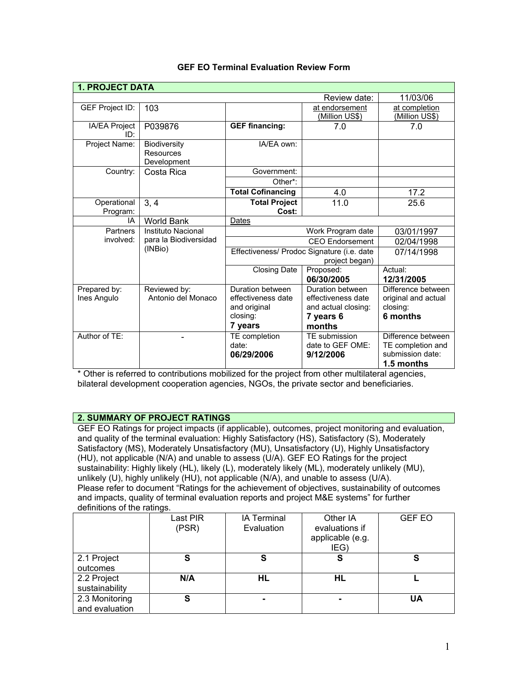| <b>1. PROJECT DATA</b>      |                                                 |                                                                               |                                                                                      |                                                                                  |  |
|-----------------------------|-------------------------------------------------|-------------------------------------------------------------------------------|--------------------------------------------------------------------------------------|----------------------------------------------------------------------------------|--|
| 11/03/06<br>Review date:    |                                                 |                                                                               |                                                                                      |                                                                                  |  |
| GEF Project ID:             | 103                                             |                                                                               | at endorsement<br>(Million US\$)                                                     | at completion<br>(Million US\$)                                                  |  |
| IA/EA Project<br>ID:        | P039876                                         | <b>GEF financing:</b>                                                         | 7.0                                                                                  | 7.0                                                                              |  |
| Project Name:               | <b>Biodiversity</b><br>Resources<br>Development | IA/EA own:                                                                    |                                                                                      |                                                                                  |  |
| Country:                    | Costa Rica                                      | Government:                                                                   |                                                                                      |                                                                                  |  |
|                             |                                                 | Other*:                                                                       |                                                                                      |                                                                                  |  |
|                             |                                                 | <b>Total Cofinancing</b>                                                      | 4.0                                                                                  | 17.2                                                                             |  |
| Operational<br>Program:     | 3, 4                                            | <b>Total Project</b><br>Cost:                                                 | 11.0                                                                                 | 25.6                                                                             |  |
| IA                          | <b>World Bank</b>                               | Dates                                                                         |                                                                                      |                                                                                  |  |
| Partners                    | Instituto Nacional                              | Work Program date                                                             |                                                                                      | 03/01/1997                                                                       |  |
| involved:                   | para la Biodiversidad                           | <b>CEO</b> Endorsement                                                        |                                                                                      | 02/04/1998                                                                       |  |
|                             | (INBio)                                         | Effectiveness/ Prodoc Signature (i.e. date<br>project began)                  |                                                                                      | 07/14/1998                                                                       |  |
|                             |                                                 | <b>Closing Date</b>                                                           | Proposed:                                                                            | Actual:                                                                          |  |
|                             |                                                 |                                                                               | 06/30/2005                                                                           | 12/31/2005                                                                       |  |
| Prepared by:<br>Ines Angulo | Reviewed by:<br>Antonio del Monaco              | Duration between<br>effectiveness date<br>and original<br>closing:<br>7 years | Duration between<br>effectiveness date<br>and actual closing:<br>7 years 6<br>months | Difference between<br>original and actual<br>closing:<br>6 months                |  |
| Author of TE:               |                                                 | TE completion<br>date:<br>06/29/2006                                          | TE submission<br>date to GEF OME:<br>9/12/2006                                       | Difference between<br>TE completion and<br>submission date:<br><b>1.5 months</b> |  |

## **GEF EO Terminal Evaluation Review Form**

\* Other is referred to contributions mobilized for the project from other multilateral agencies, bilateral development cooperation agencies, NGOs, the private sector and beneficiaries.

## **2. SUMMARY OF PROJECT RATINGS**

GEF EO Ratings for project impacts (if applicable), outcomes, project monitoring and evaluation, and quality of the terminal evaluation: Highly Satisfactory (HS), Satisfactory (S), Moderately Satisfactory (MS), Moderately Unsatisfactory (MU), Unsatisfactory (U), Highly Unsatisfactory (HU), not applicable (N/A) and unable to assess (U/A). GEF EO Ratings for the project sustainability: Highly likely (HL), likely (L), moderately likely (ML), moderately unlikely (MU), unlikely (U), highly unlikely (HU), not applicable (N/A), and unable to assess (U/A). Please refer to document "Ratings for the achievement of objectives, sustainability of outcomes and impacts, quality of terminal evaluation reports and project M&E systems" for further definitions of the ratings.

|                                  | Last PIR<br>(PSR) | <b>IA Terminal</b><br>Evaluation | Other IA<br>evaluations if<br>applicable (e.g.<br>IEG) | <b>GEF EO</b> |
|----------------------------------|-------------------|----------------------------------|--------------------------------------------------------|---------------|
| 2.1 Project<br>outcomes          | S                 | S                                | S                                                      | S             |
| 2.2 Project<br>sustainability    | N/A               | HL                               | HL                                                     |               |
| 2.3 Monitoring<br>and evaluation | S                 |                                  |                                                        | UA            |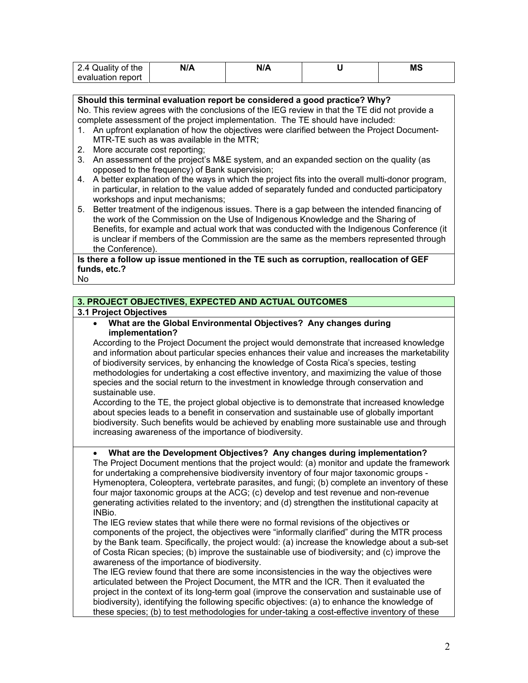| 2.4 Quality of the | N/A | N/A | ΜS |
|--------------------|-----|-----|----|
| evaluation report  |     |     |    |

**Should this terminal evaluation report be considered a good practice? Why?** No. This review agrees with the conclusions of the IEG review in that the TE did not provide a complete assessment of the project implementation. The TE should have included:

- 1. An upfront explanation of how the objectives were clarified between the Project Document-MTR-TE such as was available in the MTR;
- 2. More accurate cost reporting;
- 3. An assessment of the project's M&E system, and an expanded section on the quality (as opposed to the frequency) of Bank supervision;
- 4. A better explanation of the ways in which the project fits into the overall multi-donor program, in particular, in relation to the value added of separately funded and conducted participatory workshops and input mechanisms;
- 5. Better treatment of the indigenous issues. There is a gap between the intended financing of the work of the Commission on the Use of Indigenous Knowledge and the Sharing of Benefits, for example and actual work that was conducted with the Indigenous Conference (it is unclear if members of the Commission are the same as the members represented through the Conference).

# **Is there a follow up issue mentioned in the TE such as corruption, reallocation of GEF funds, etc.?**

### No

# **3. PROJECT OBJECTIVES, EXPECTED AND ACTUAL OUTCOMES**

### **3.1 Project Objectives**

• **What are the Global Environmental Objectives? Any changes during implementation?** 

According to the Project Document the project would demonstrate that increased knowledge and information about particular species enhances their value and increases the marketability of biodiversity services, by enhancing the knowledge of Costa Rica's species, testing methodologies for undertaking a cost effective inventory, and maximizing the value of those species and the social return to the investment in knowledge through conservation and sustainable use.

According to the TE, the project global objective is to demonstrate that increased knowledge about species leads to a benefit in conservation and sustainable use of globally important biodiversity. Such benefits would be achieved by enabling more sustainable use and through increasing awareness of the importance of biodiversity.

## • **What are the Development Objectives? Any changes during implementation?**

The Project Document mentions that the project would: (a) monitor and update the framework for undertaking a comprehensive biodiversity inventory of four major taxonomic groups - Hymenoptera, Coleoptera, vertebrate parasites, and fungi; (b) complete an inventory of these four major taxonomic groups at the ACG; (c) develop and test revenue and non-revenue generating activities related to the inventory; and (d) strengthen the institutional capacity at INBio.

The IEG review states that while there were no formal revisions of the objectives or components of the project, the objectives were "informally clarified" during the MTR process by the Bank team. Specifically, the project would: (a) increase the knowledge about a sub-set of Costa Rican species; (b) improve the sustainable use of biodiversity; and (c) improve the awareness of the importance of biodiversity.

The IEG review found that there are some inconsistencies in the way the objectives were articulated between the Project Document, the MTR and the ICR. Then it evaluated the project in the context of its long-term goal (improve the conservation and sustainable use of biodiversity), identifying the following specific objectives: (a) to enhance the knowledge of these species; (b) to test methodologies for under-taking a cost-effective inventory of these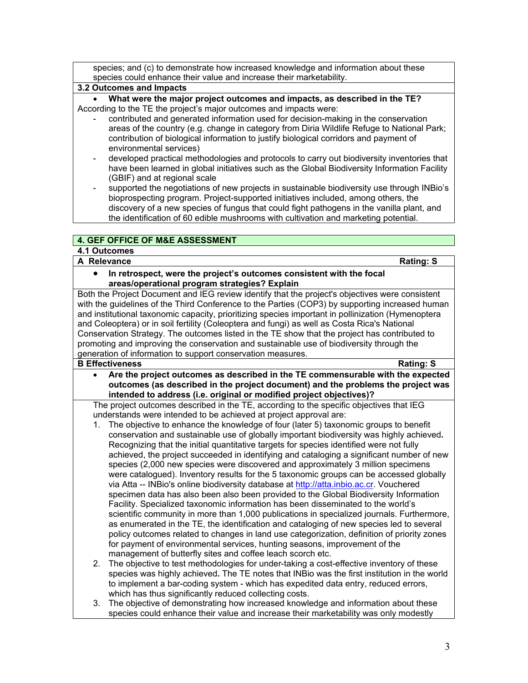| species; and (c) to demonstrate how increased knowledge and information about these |
|-------------------------------------------------------------------------------------|
| species could enhance their value and increase their marketability.                 |

### **3.2 Outcomes and Impacts**

• **What were the major project outcomes and impacts, as described in the TE?** According to the TE the project's major outcomes and impacts were:

- contributed and generated information used for decision-making in the conservation areas of the country (e.g. change in category from Diria Wildlife Refuge to National Park; contribution of biological information to justify biological corridors and payment of environmental services)
- developed practical methodologies and protocols to carry out biodiversity inventories that have been learned in global initiatives such as the Global Biodiversity Information Facility (GBIF) and at regional scale
- supported the negotiations of new projects in sustainable biodiversity use through INBio's bioprospecting program. Project-supported initiatives included, among others, the discovery of a new species of fungus that could fight pathogens in the vanilla plant, and the identification of 60 edible mushrooms with cultivation and marketing potential.

# **4. GEF OFFICE OF M&E ASSESSMENT**

# **4.1 Outcomes A Relevance Rating: S**

• **In retrospect, were the project's outcomes consistent with the focal areas/operational program strategies? Explain**

Both the Project Document and IEG review identify that the project's objectives were consistent with the guidelines of the Third Conference to the Parties (COP3) by supporting increased human and institutional taxonomic capacity, prioritizing species important in pollinization (Hymenoptera and Coleoptera) or in soil fertility (Coleoptera and fungi) as well as Costa Rica's National Conservation Strategy. The outcomes listed in the TE show that the project has contributed to promoting and improving the conservation and sustainable use of biodiversity through the generation of information to support conservation measures.

# **B Effectiveness Rating: S**

• **Are the project outcomes as described in the TE commensurable with the expected outcomes (as described in the project document) and the problems the project was intended to address (i.e. original or modified project objectives)?** 

The project outcomes described in the TE, according to the specific objectives that IEG understands were intended to be achieved at project approval are:

- 1. The objective to enhance the knowledge of four (later 5) taxonomic groups to benefit conservation and sustainable use of globally important biodiversity was highly achieved**.**  Recognizing that the initial quantitative targets for species identified were not fully achieved, the project succeeded in identifying and cataloging a significant number of new species (2,000 new species were discovered and approximately 3 million specimens were catalogued). Inventory results for the 5 taxonomic groups can be accessed globally via Atta -- INBio's online biodiversity database at [http://atta.inbio.ac.cr.](http://atta.inbio.ac.cr/) Vouchered specimen data has also been also been provided to the Global Biodiversity Information Facility. Specialized taxonomic information has been disseminated to the world's scientific community in more than 1,000 publications in specialized journals. Furthermore, as enumerated in the TE, the identification and cataloging of new species led to several policy outcomes related to changes in land use categorization, definition of priority zones for payment of environmental services, hunting seasons, improvement of the management of butterfly sites and coffee leach scorch etc.
- 2. The objective to test methodologies for under-taking a cost-effective inventory of these species was highly achieved**.** The TE notes that INBio was the first institution in the world to implement a bar-coding system - which has expedited data entry, reduced errors, which has thus significantly reduced collecting costs.
- 3. The objective of demonstrating how increased knowledge and information about these species could enhance their value and increase their marketability was only modestly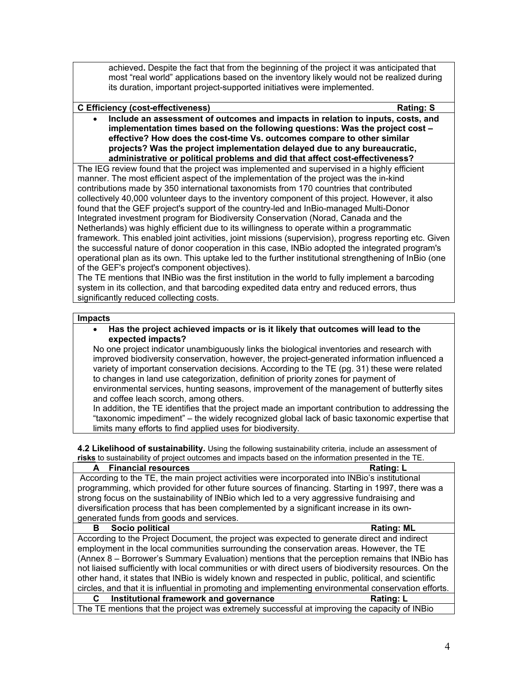achieved**.** Despite the fact that from the beginning of the project it was anticipated that most "real world" applications based on the inventory likely would not be realized during its duration, important project-supported initiatives were implemented.

### **C Efficiency (cost-effectiveness) Rating: S**

• **Include an assessment of outcomes and impacts in relation to inputs, costs, and implementation times based on the following questions: Was the project cost – effective? How does the cost-time Vs. outcomes compare to other similar projects? Was the project implementation delayed due to any bureaucratic, administrative or political problems and did that affect cost-effectiveness?**

The IEG review found that the project was implemented and supervised in a highly efficient manner. The most efficient aspect of the implementation of the project was the in-kind contributions made by 350 international taxonomists from 170 countries that contributed collectively 40,000 volunteer days to the inventory component of this project. However, it also found that the GEF project's support of the country-led and InBio-managed Multi-Donor Integrated investment program for Biodiversity Conservation (Norad, Canada and the Netherlands) was highly efficient due to its willingness to operate within a programmatic framework. This enabled joint activities, joint missions (supervision), progress reporting etc. Given the successful nature of donor cooperation in this case, INBio adopted the integrated program's operational plan as its own. This uptake led to the further institutional strengthening of InBio (one of the GEF's project's component objectives).

The TE mentions that INBio was the first institution in the world to fully implement a barcoding system in its collection, and that barcoding expedited data entry and reduced errors, thus significantly reduced collecting costs.

#### **Impacts**

• **Has the project achieved impacts or is it likely that outcomes will lead to the expected impacts?**

No one project indicator unambiguously links the biological inventories and research with improved biodiversity conservation, however, the project-generated information influenced a variety of important conservation decisions. According to the TE (pg. 31) these were related to changes in land use categorization, definition of priority zones for payment of environmental services, hunting seasons, improvement of the management of butterfly sites and coffee leach scorch, among others.

In addition, the TE identifies that the project made an important contribution to addressing the "taxonomic impediment" – the widely recognized global lack of basic taxonomic expertise that limits many efforts to find applied uses for biodiversity.

**4.2 Likelihood of sustainability.** Using the following sustainability criteria, include an assessment of **risks** to sustainability of project outcomes and impacts based on the information presented in the TE.

| A Financial resources                                                                                  | Rating: L         |  |  |
|--------------------------------------------------------------------------------------------------------|-------------------|--|--|
| According to the TE, the main project activities were incorporated into INBio's institutional          |                   |  |  |
| programming, which provided for other future sources of financing. Starting in 1997, there was a       |                   |  |  |
| strong focus on the sustainability of INBio which led to a very aggressive fundraising and             |                   |  |  |
| diversification process that has been complemented by a significant increase in its own-               |                   |  |  |
| generated funds from goods and services.                                                               |                   |  |  |
| Socio political<br>в                                                                                   | <b>Rating: ML</b> |  |  |
| According to the Project Document, the project was expected to generate direct and indirect            |                   |  |  |
| employment in the local communities surrounding the conservation areas. However, the TE                |                   |  |  |
| (Annex 8 – Borrower's Summary Evaluation) mentions that the perception remains that INBio has          |                   |  |  |
| not liaised sufficiently with local communities or with direct users of biodiversity resources. On the |                   |  |  |
| other hand, it states that INBio is widely known and respected in public, political, and scientific    |                   |  |  |
| circles, and that it is influential in promoting and implementing environmental conservation efforts.  |                   |  |  |
| Institutional framework and governance<br>C.                                                           | <b>Rating: L</b>  |  |  |
| The TE mentions that the project was extremely successful at improving the capacity of INBio           |                   |  |  |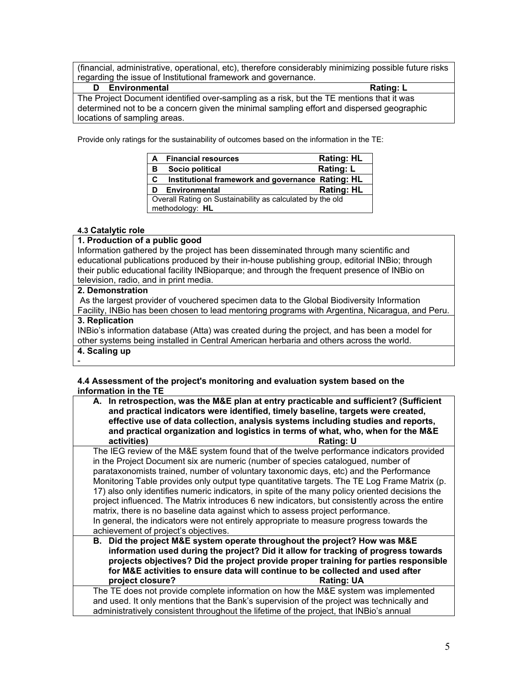(financial, administrative, operational, etc), therefore considerably minimizing possible future risks regarding the issue of Institutional framework and governance.

| Environmental<br>D                                                                        | Rating: L |
|-------------------------------------------------------------------------------------------|-----------|
| The Project Document identified over-sampling as a risk, but the TE mentions that it was  |           |
| determined not to be a concern given the minimal sampling effort and dispersed geographic |           |
| locations of sampling areas.                                                              |           |

Provide only ratings for the sustainability of outcomes based on the information in the TE:

| A | <b>Financial resources</b>                                                   | <b>Rating: HL</b> |  |  |
|---|------------------------------------------------------------------------------|-------------------|--|--|
| в | Socio political                                                              | <b>Rating: L</b>  |  |  |
| C | Institutional framework and governance Rating: HL                            |                   |  |  |
| D | Environmental                                                                | <b>Rating: HL</b> |  |  |
|   | Overall Rating on Sustainability as calculated by the old<br>methodology: HL |                   |  |  |

## **4.3 Catalytic role**

# **1. Production of a public good**

Information gathered by the project has been disseminated through many scientific and educational publications produced by their in-house publishing group, editorial INBio; through their public educational facility INBioparque; and through the frequent presence of INBio on television, radio, and in print media.

### **2. Demonstration**

As the largest provider of vouchered specimen data to the Global Biodiversity Information Facility, INBio has been chosen to lead mentoring programs with Argentina, Nicaragua, and Peru.

### **3. Replication**

INBio's information database (Atta) was created during the project, and has been a model for other systems being installed in Central American herbaria and others across the world.

### **4. Scaling up** -

### **4.4 Assessment of the project's monitoring and evaluation system based on the information in the TE**

| A. In retrospection, was the M&E plan at entry practicable and sufficient? (Sufficient<br>and practical indicators were identified, timely baseline, targets were created,<br>effective use of data collection, analysis systems including studies and reports,<br>and practical organization and logistics in terms of what, who, when for the M&E                                                                                                                                                                                                                                                                                                                                                                                                                                               |
|---------------------------------------------------------------------------------------------------------------------------------------------------------------------------------------------------------------------------------------------------------------------------------------------------------------------------------------------------------------------------------------------------------------------------------------------------------------------------------------------------------------------------------------------------------------------------------------------------------------------------------------------------------------------------------------------------------------------------------------------------------------------------------------------------|
| activities)<br><b>Rating: U</b>                                                                                                                                                                                                                                                                                                                                                                                                                                                                                                                                                                                                                                                                                                                                                                   |
| The IEG review of the M&E system found that of the twelve performance indicators provided<br>in the Project Document six are numeric (number of species catalogued, number of<br>parataxonomists trained, number of voluntary taxonomic days, etc) and the Performance<br>Monitoring Table provides only output type quantitative targets. The TE Log Frame Matrix (p.<br>17) also only identifies numeric indicators, in spite of the many policy oriented decisions the<br>project influenced. The Matrix introduces 6 new indicators, but consistently across the entire<br>matrix, there is no baseline data against which to assess project performance.<br>In general, the indicators were not entirely appropriate to measure progress towards the<br>achievement of project's objectives. |
| B. Did the project M&E system operate throughout the project? How was M&E<br>information used during the project? Did it allow for tracking of progress towards<br>projects objectives? Did the project provide proper training for parties responsible<br>for M&E activities to ensure data will continue to be collected and used after<br>project closure?<br><b>Rating: UA</b>                                                                                                                                                                                                                                                                                                                                                                                                                |
| The TE does not provide complete information on how the M&E system was implemented<br>and used. It only mentions that the Bank's supervision of the project was technically and<br>administratively consistent throughout the lifetime of the project, that INBio's annual                                                                                                                                                                                                                                                                                                                                                                                                                                                                                                                        |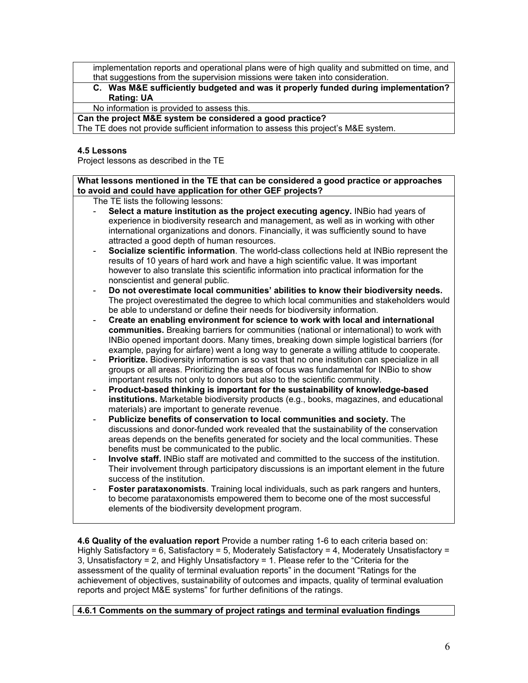implementation reports and operational plans were of high quality and submitted on time, and that suggestions from the supervision missions were taken into consideration.

**C. Was M&E sufficiently budgeted and was it properly funded during implementation? Rating: UA**

No information is provided to assess this.

**Can the project M&E system be considered a good practice?**

The TE does not provide sufficient information to assess this project's M&E system.

### **4.5 Lessons**

Project lessons as described in the TE

**What lessons mentioned in the TE that can be considered a good practice or approaches to avoid and could have application for other GEF projects?**

The TE lists the following lessons:

- Select a mature institution as the project executing agency. **INBio had years of** experience in biodiversity research and management, as well as in working with other international organizations and donors. Financially, it was sufficiently sound to have attracted a good depth of human resources.
- **Socialize scientific information**. The world-class collections held at INBio represent the results of 10 years of hard work and have a high scientific value. It was important however to also translate this scientific information into practical information for the nonscientist and general public.
- **Do not overestimate local communities' abilities to know their biodiversity needs.**  The project overestimated the degree to which local communities and stakeholders would be able to understand or define their needs for biodiversity information.
- **Create an enabling environment for science to work with local and international communities.** Breaking barriers for communities (national or international) to work with INBio opened important doors. Many times, breaking down simple logistical barriers (for example, paying for airfare) went a long way to generate a willing attitude to cooperate.
- **Prioritize.** Biodiversity information is so vast that no one institution can specialize in all groups or all areas. Prioritizing the areas of focus was fundamental for INBio to show important results not only to donors but also to the scientific community.
- **Product-based thinking is important for the sustainability of knowledge-based institutions.** Marketable biodiversity products (e.g., books, magazines, and educational materials) are important to generate revenue.
- **Publicize benefits of conservation to local communities and society.** The discussions and donor-funded work revealed that the sustainability of the conservation areas depends on the benefits generated for society and the local communities. These benefits must be communicated to the public.
- **Involve staff.** INBio staff are motivated and committed to the success of the institution. Their involvement through participatory discussions is an important element in the future success of the institution.
- **Foster parataxonomists**. Training local individuals, such as park rangers and hunters, to become parataxonomists empowered them to become one of the most successful elements of the biodiversity development program.

**4.6 Quality of the evaluation report** Provide a number rating 1-6 to each criteria based on: Highly Satisfactory = 6, Satisfactory = 5, Moderately Satisfactory = 4, Moderately Unsatisfactory = 3, Unsatisfactory = 2, and Highly Unsatisfactory = 1. Please refer to the "Criteria for the assessment of the quality of terminal evaluation reports" in the document "Ratings for the achievement of objectives, sustainability of outcomes and impacts, quality of terminal evaluation reports and project M&E systems" for further definitions of the ratings.

**4.6.1 Comments on the summary of project ratings and terminal evaluation findings**